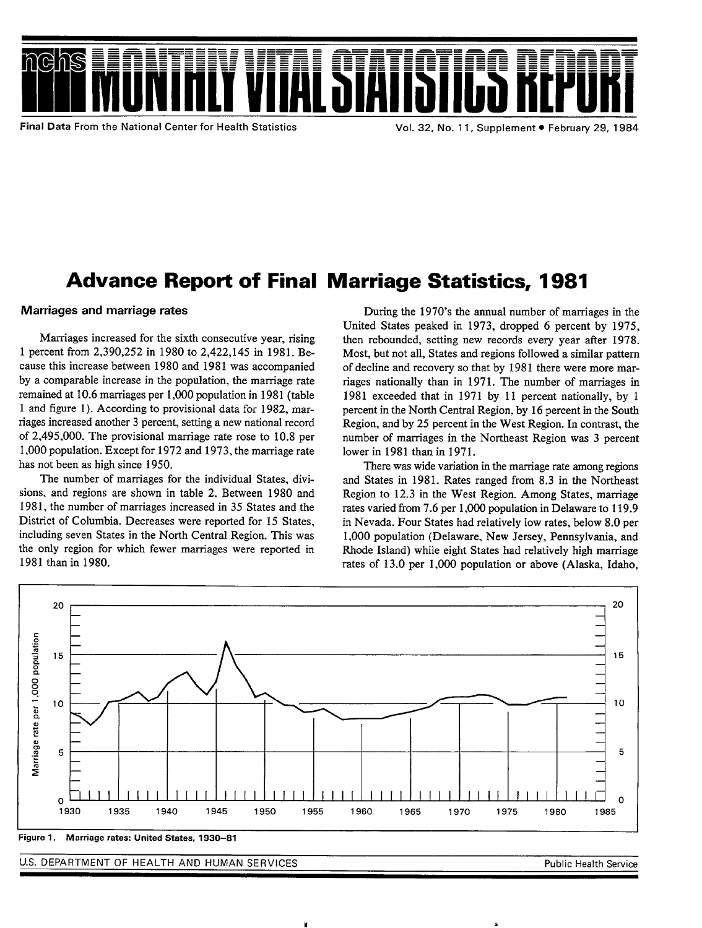

# Advance Report of Final Marriage Statistics, 1981

## Marriages and marriage rates

Marriages increased for the sixth consecutive year, rising 1 percent from 2,390,252 in 1980 to 2,422,145 in 1981. Because this increase between 1980 and 1981 was accompanied by a comparable increase in the population, the marriage rate remained at 10.6 marriages per 1,000 population in 1981 (table 1 and figure 1). According to provisional data for 1982, marriages increased another 3 percent, setting a new national record of 2,495,000. The provisional marriage rate rose to 10.8 per 1,000 population. Except for 1972 and 1973, the marriage rate has not been as high since 1950.

The number of marriages for the individual States, divisions, and regions are shown in table 2. Between 1980 and 1981, the number of marriages increased in 35 States and the District of Columbia. Decreases were reported for 15 States, including seven States in the North Central Region. This was the only region for which fewer marriages were reported in 1981 than in 1980.

During the 1970's the annual number of marriages in the United States peaked in 1973, dropped 6 percent by 1975, then rebounded, setting new records every year after 1978. Most, but not all, States and regions followed a similar pattern of decline and recovery so that by 1981 there were more marriages nationally than in 1971. The number of marriages in 1981 exceeded that in 1971 by 11 percent nationally, by 1 percent in the North Central Region, by 16 percent in the South Region, and by 25 percent in the West Region. In contrast, the number of marriages in the Northeast Region was 3 percent lower in 1981 than in 1971.

There was wide variation in the marriage rate among regions and States in 1981. Rates ranged from 8.3 in the Northeast Region to 12.3 in the West Region. Among States, marriage rates varied from 7.6 per 1,000 population in Delaware to 119.9 in Nevada. Four States had relatively low rates, below 8.0 per 1,000 population (Delaware, New Jersey, Pennsylvania, and Rhode Island) while eight States had relatively high marriage rates of 13.0 per 1,000 population or above (Alaska, Idaho,



U.S. DEPARTMENT OF HEALTH AND HUMAN SERVICES **And Service Contains the Service** Public Health Service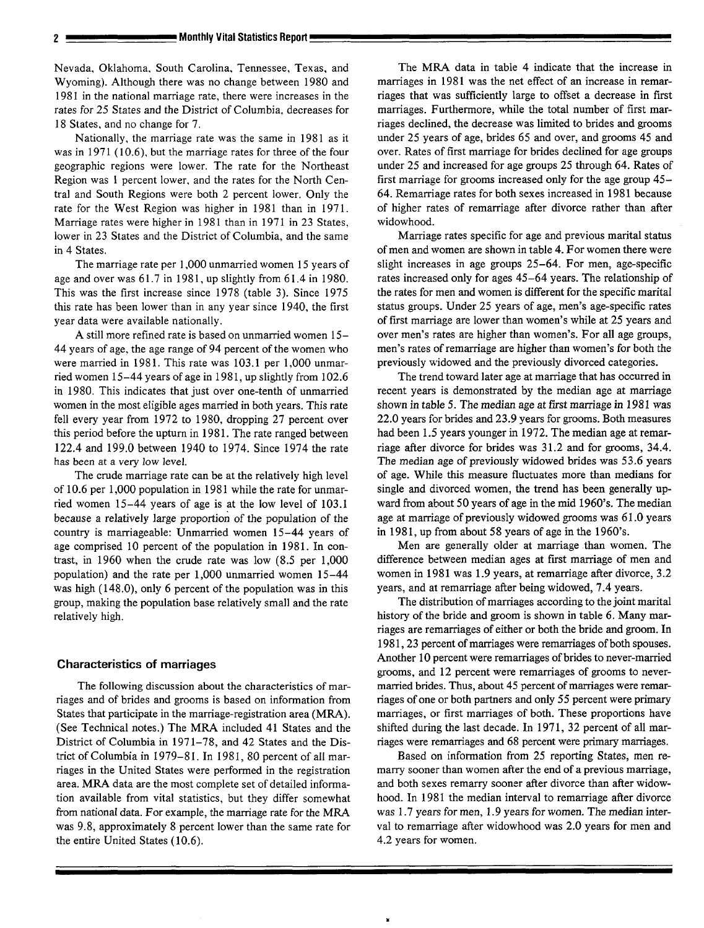Nevada, Oklahoma, South Carolina, Tennessee, Texas, and Wyoming). Although there was no change between 1980 and 1981 in the national marriage rate, there were increases in the rates for 25 States and the District of Columbia, decreases for 18 States, and no change for 7.

Nationally, the marriage rate was the same in 1981 as it was in 1971 (10.6), but the marriage rates for three of the four geographic regions were lower. The rate for the Northeast Region was 1 percent lower, and the rates for the North Central and South Regions were both 2 percent lower. Only the rate for the West Region was higher in 1981 than in 1971. Marriage rates were higher in 1981 than in 1971 in 23 States, lower in 23 States and the District of Columbia, and the same in 4 States.

The marriage rate per 1,000 unmarried women 15 years of age and over was 61.7 in 1981, up slightly from 61.4 in 1980. This was the first increase since 1978 (table 3). Since 1975 this rate has been lower than in any year since 1940, the first year data were available nationally.

A still more refined rate is based on unmarried women 15- 44 years of age, the age range of 94 percent of the women who were married in 1981. This rate was 103.1 per 1,000 unmarried women 15-44 years of age in 1981, up slightly from 102.6 in 1980. This indicates that just over one-tenth of unmarried women in the most eligible ages married in both years. This rate fell every year from 1972 to 1980, dropping 27 percent over this period before the upturn in 1981. The rate ranged between 122.4 and 199.0 between 1940 to 1974. Since 1974 the rate has been at a very low level.

The crude marriage rate can be at the relatively high level of 10.6 per 1,000 population in 1981 while the rate for unmarried women 15–44 years of age is at the low level of 103.1 because a relatively large proportion of the population of the country is marriageable: Unmarried women 15–44 years of age comprised 10 percent of the population in 1981. In contrast, in 1960 when the crude rate was low (8.5 per 1,000 population) and the rate per 1,000 unmarried women 15–44 was high (148.0), only 6 percent of the population was in this group, making the population base relatively small and the rate relatively high.

## **Characteristics of marriages**

The following discussion about the characteristics of marriages and of brides and grooms is based on information from States that participate in the marriage-registration area (MRA). (See Technical notes.) The MRA included 41 States and the District of Columbia in 1971–78, and 42 States and the District of Columbia in 1979–81. In 1981, 80 percent of all marriages in the United States were performed in the registration area. MRA data are the most complete set of detailed information available from vital statistics, but they differ somewhat from national data. For example, the marriage rate for the MRA was 9.8, approximately 8 percent lower than the same rate for the entire United States ( 10.6).

The MRA data in table 4 indicate that the increase in marriages in 1981 was the net effect of an increase in remarriages that was sufficiently large to offset a decrease in first marriages. Furthermore, while the total number of first marriages declined, the decrease was limited to brides and grooms under 25 years of age, brides 65 and over, and grooms 45 and over. Rates of first marriage for brides declined for age groups under 25 and increased for age groups 25 through 64. Rates of first marriage for grooms increased only for the age group 45- 64. Remarriage rates for both sexes increased in 1981 because of higher rates of remarriage after divorce rather than after widowhood.

Marriage rates specific for age and previous marital status of men and women are shown in table 4. For women there were slight increases in age groups 25–64. For men, age-specific rates increased only for ages 45–64 years. The relationship of the rates for men and women is different for the specific marital status groups. Under 25 years of age, men's age-specific rates of first marriage are lower than women's while at 25 years and over men's rates are higher than women's. For all age groups, men's rates of remarriage are higher than women's for both the previously widowed and the previously divorced categories.

The trend toward later age at marriage that has occurred in recent years is demonstrated by the median age at marriage shown in table 5. The median age at first marriage in 1981 was 22.0 years for brides and 23.9 years for grooms. Both measures had been 1.5 years younger in 1972. The median age at remarriage after divorce for brides was 31.2 and for grooms, 34.4. The median age of previously widowed brides was 53.6 years of age. While this measure fluctuates more than medians for single and divorced women, the trend has been generally upward from about 50 years of age in the mid 1960's. The median age at marriage of previously widowed grooms was 61.0 years in 1981, up from about 58 years of age in the 1960's.

Men are generally older at marriage than women. The difference between median ages at first marriage of men and women in 1981 was 1.9 years, at remarriage after divorce, 3.2 years, and at remarriage after being widowed, 7.4 years.

The distribution of marriages according to the joint marital history of the bride and groom is shown in table 6. Many marriages are remarriages of either or both the bride and groom. In 1981, 23 percent of marriages were remarriages of both spouses. Another 10 percent were remarriages of brides to never-married grooms, and 12 percent were remarriages of grooms to nevermarried brides. Thus, about 45 percent of marriages were remarriages of one or both partners and only 55 percent were primary marriages, or first marriages of both. These proportions have shifted during the last decade. In 1971, 32 percent of all marriages were remarriages and 68 percent were primary marriages.

Based on information from 25 reporting States, men remarry sooner than women after the end of a previous marriage, and both sexes remarry sooner after divorce than after widowhood. In 1981 the median interval to remarriage after divorce was 1.7 years for men, 1.9 years for women. The median interval to remarriage after widowhood was 2.0 years for men and 4.2 years for women.

**M**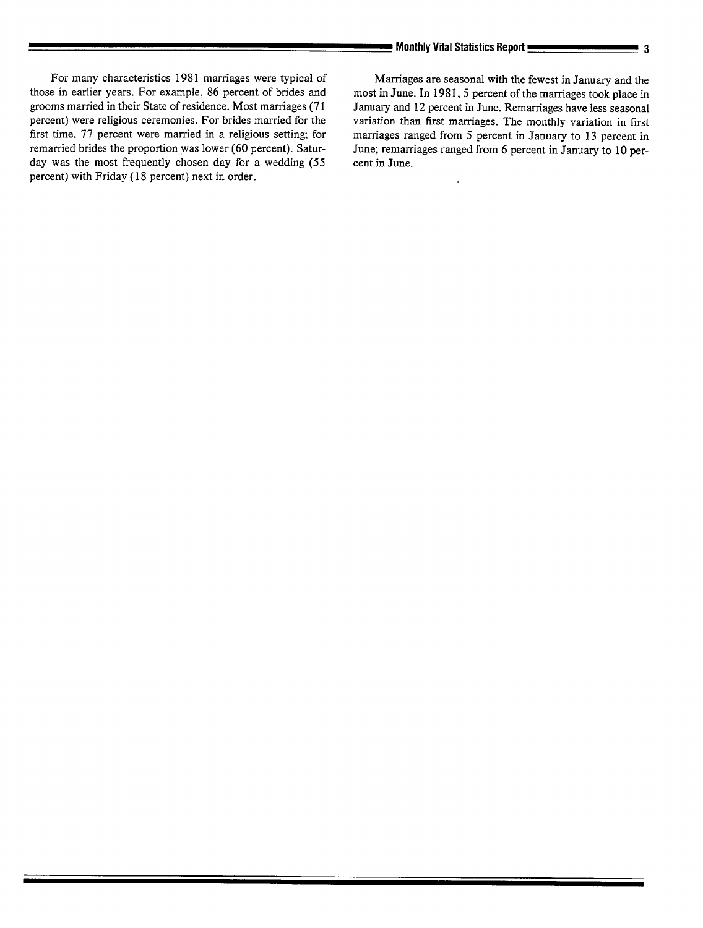For many characteristics 1981 marriages were typical of Marriages are seasonal with the fewest in January and the those in earlier years. For example, 86 percent of brides and most in June. In 1981, 5 percent of the marria grooms married in their State of residence. Most marriages (71 percent) were religious ceremonies. For brides married for the percent) were religious ceremonies. For brides married for the variation than first marriages. The monthly variation in first first time, 77 percent were married in a religious setting; for marriages ranged from 5 percent first time, 77 percent were married in a religious setting; for marriages ranged from 5 percent in January to 13 percent in remarried brides the proportion was lower (60 percent). Satur-<br>June; remarriages ranged from 6 per day was the most frequently chosen day for a wedding (55 percent) with Friday (18 percent) next in order.

most in June. In 1981, 5 percent of the marriages took place in January and 12 percent in June. Remarriages have less seasonal June; remarriages ranged from 6 percent in January to 10 percent in June.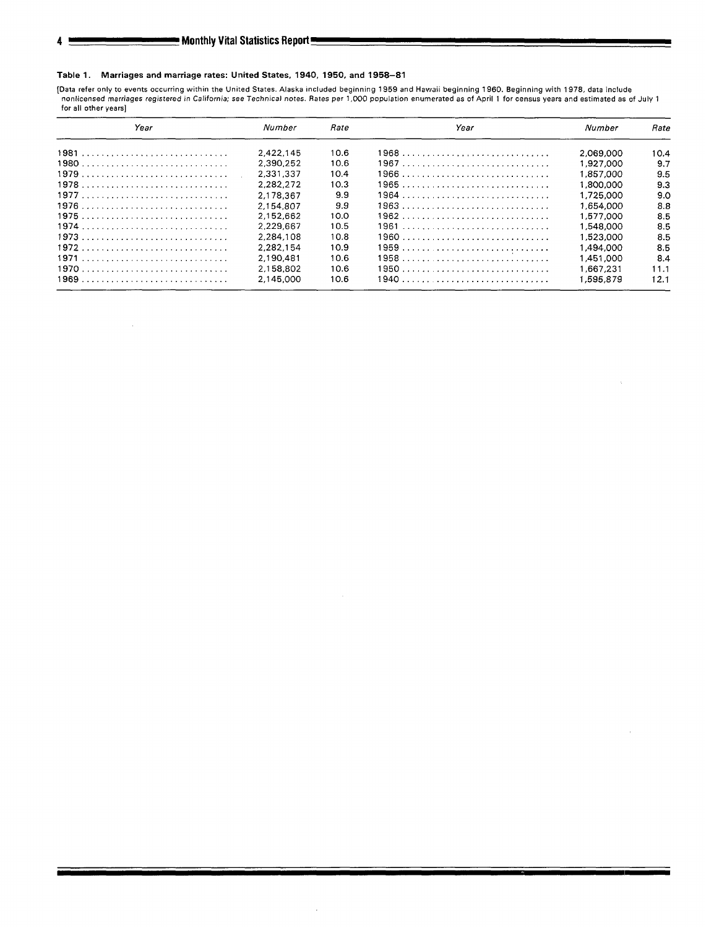## Table 1. Marriages and marriage rates: United States, 1940, 1950, and 1958–81

[Data refer only to events occurring within the United States. Alaska included beginning 1959 and Hawaii beginning 1960. Beginning with 1978, data include<br>Inonlicensed marriages registered in California; see Technical note **for all other years]** 

| Year | Number    | Rate | Year | Number    | <i><b>Pate</b></i> |
|------|-----------|------|------|-----------|--------------------|
| 1981 | 2.422.145 | 10.6 | 1968 | 2.069.000 | 10.4               |
|      | 2.390.252 | 10.6 |      | 1.927.000 | 9.7                |
|      | 2.331.337 | 10.4 |      | 1.857.000 | 9.5                |
|      | 2.282.272 | 10.3 |      | 1.800.000 | 9.3                |
|      | 2.178.367 | 9.9  |      | 1.725.000 | 9.0                |
|      | 2.154.807 | 9.9  |      | 1.654.000 | 8.8                |
|      | 2.152.662 | 10.0 |      | 1,577,000 | 8.5                |
|      | 2.229.667 | 10.5 |      | 1.548.000 | 8.5                |
|      | 2.284.108 | 10.8 |      | 1.523.000 | 8.5                |
| 1972 | 2.282.154 | 10.9 |      | 1.494.000 | 8.5                |
|      | 2.190.481 | 10.6 | 1958 | 1.451.000 | 8.4                |
|      | 2.158.802 | 10.6 |      | 1.667.231 | 11.1               |
|      | 2.145.000 | 10.6 |      | 1,595.879 | 12.1               |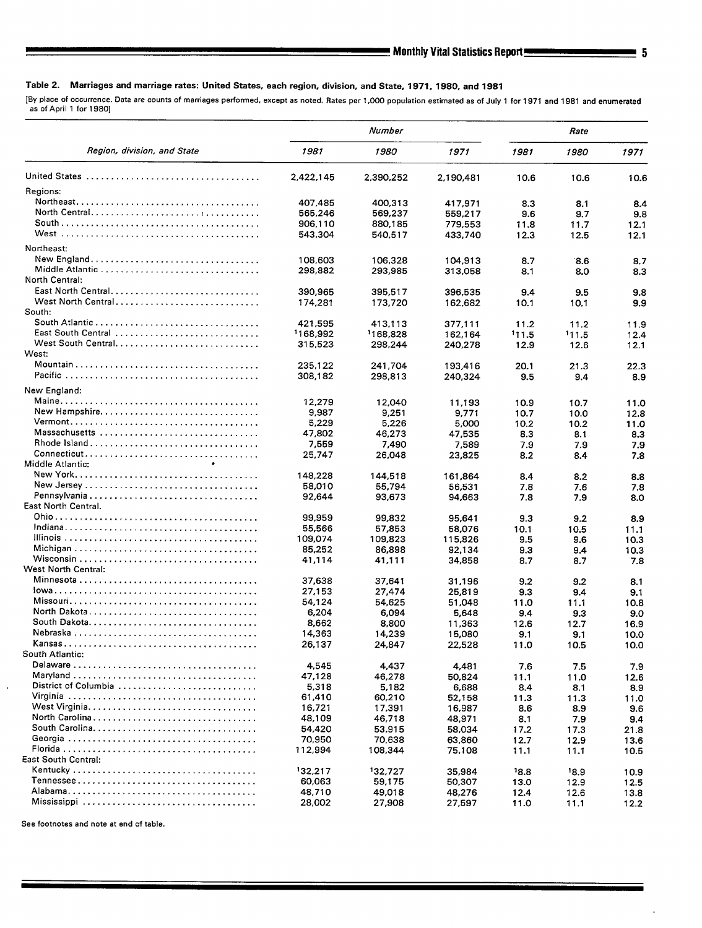## Table 2. Marriages and marriage rates: United States, each region, division, and State, 1971, 1980, and 1981

**[By place of occurrence. Data are counts of marriages performed, except as noted. Rates per 1,000 population estimated as of July 1 for 1971 and 1981 and enumerated as of April 1 for 19BO]** 

|                             |           | Number    | Rate      |      |       |      |
|-----------------------------|-----------|-----------|-----------|------|-------|------|
| Region, division, and State | 1981      | 1980      | 1971      | 1981 | 1980  | 1971 |
|                             | 2,422,145 | 2,390,252 | 2,190,481 | 10.6 | 10.6  | 10.6 |
| Regions:                    |           |           |           |      |       |      |
|                             | 407,485   | 400,313   | 417,971   | 8.3  | 8.1   | 8.4  |
| North Central               | 565,246   | 569,237   | 559,217   | 9.6  | 9,7   | 9.8  |
|                             | 906,110   | 880,185   | 779,553   | 11.8 | 11.7  | 12.1 |
|                             | 543,304   | 540,517   | 433,740   | 12.3 | 12.5  | 12.1 |
| Northeast:                  |           |           |           |      |       |      |
| New England                 | 108,603   | 106,328   | 104,913   | 8.7  | .86   | 8.7  |
| Middle Atlantic             | 298.882   | 293,985   | 313,058   | 8.1  | 8.0   | 8.3  |
| North Central:              |           |           |           |      |       |      |
| East North Central          | 390,965   | 395,517   | 396,535   | 9.4  | 9.5   | 9.8  |
| West North Central          | 174,281   | 173,720   | 162,682   | 10.1 | 10.1  | 9.9  |
| South:                      |           |           |           |      |       |      |
|                             | 421,595   | 413.113   | 377.111   | 11.2 | 11.2  | 11.9 |
| East South Central          | '168,992  | 1168.828  | 162,164   | 11.5 | 111.5 | 12.4 |
|                             | 315,523   | 298,244   | 240,278   | 12.9 | 12.6  | 12.1 |
| West:                       |           |           |           |      |       |      |
|                             | 235,122   | 241,704   | 193,416   | 20.1 | 21.3  | 22.3 |
|                             | 308,182   | 298,813   | 240,324   | 9.5  | 9.4   | 8.9  |
| New England:                |           |           |           |      |       |      |
|                             | 12,279    | 12,040    | 11,193    | 10.9 | 10.7  | 11.0 |
| New Hampshire               | 9,987     | 9,251     | 9.771     | 10.7 | 10.0  | 12.8 |
|                             | 5,229     | 5,226     | 5,000     | 10.2 | 10.2  | 11.0 |
| Massachusetts               | 47,802    | 46,273    | 47,535    | 8.3  | 8.1   | 8.3  |
|                             | 7,559     | 7,490     | 7,589     | 7.9  | 7.9   | 7.9  |
|                             | 25,747    | 26,048    | 23,825    | 8.2  | 8.4   | 7.8  |
| Middle Atlantic:            |           |           |           |      |       |      |
|                             | 148.228   | 144,518   | 161,864   | 8.4  | 8.2   | 8.8  |
|                             | 58,010    | 55,794    | 56,531    | 7.8  | 7.6   | 7.8  |
|                             | 92,644    | 93,673    | 94,663    | 7.8  | 7.9   | 8.0  |
| East North Central.         |           |           |           |      |       |      |
|                             | 99,959    | 99,832    | 95,641    | 9.3  | 9.2   | 8.9  |
|                             | 55,566    | 57,853    | 58,076    | 10.1 | 10.5  | 11.1 |
|                             | 109,074   | 109,823   | 115,826   | 9.5  | 9.6   | 10.3 |
|                             | 85,252    | 86,898    | 92,134    | 9.3  | 9.4   | 10.3 |
|                             | 41,114    | 41,111    | 34,858    | 8.7  | 8.7   | 7.8  |
| West North Central:         |           |           |           |      |       |      |
|                             | 37,638    | 37.641    | 31,196    | 9.2  | 9.2   | 8.1  |
|                             | 27,153    | 27,474    | 25,819    | 9.3  | 9.4   | 9.1  |
|                             | 54,124    | 54.625    | 51,048    | 11.0 | 11.1  | 10.8 |
|                             | 6,204     | 6,094     | 5,648     | 9.4  | 9.3   | 9.0  |
|                             | 8,662     | 8,800     | 11,363    | 12.6 | 12.7  | 16.9 |
|                             | 14,363    | 14,239    | 15,080    | 9.1  | 9.1   | 10.0 |
|                             | 26,137    | 24,847    | 22,528    | 11.0 | 10.5  | 10.0 |
| South Atlantic:             |           |           |           |      |       |      |
|                             | 4,545     | 4,437     | 4,481     | 7.6  | 7.5   | 7.9  |
|                             | 47,128    | 46,278    | 50,824    | 11.1 | 11.0  | 12.6 |
| District of Columbia        | 5,318     | 5,182     | 6,688     | 8.4  | 8.1   | 8.9  |
|                             | 61,410    | 60,210    | 52,158    | 11.3 | 11.3  | 11.0 |
|                             | 16,721    | 17,391    | 16,987    | 8.6  | 8.9   | 9.6  |
| North Carolina              | 48,109    | 46,718    | 48,971    | 8.1  | 7.9   | 9.4  |
|                             | 54,420    | 53,915    | 58,034    | 17.2 | 17.3  | 21.8 |
|                             | 70,950    | 70,638    | 63,860    | 12.7 | 12.9  | 13.6 |
| East South Central:         | 112,994   | 108,344   | 75,108    | 11.1 | 11.1  | 10.5 |
|                             | 132.217   |           |           |      |       |      |
|                             | 60,063    | 132,727   | 35,984    | 18.8 | 18.9  | 10.9 |
|                             |           | 59,175    | 50,307    | 13.0 | 12.9  | 12.5 |
|                             | 48,710    | 49,018    | 48,276    | 12.4 | 12.6  | 13.8 |
|                             | 28,002    | 27,908    | 27,597    | 11.0 | 11.1  | 12.2 |

**See footnotes and note at end of table.**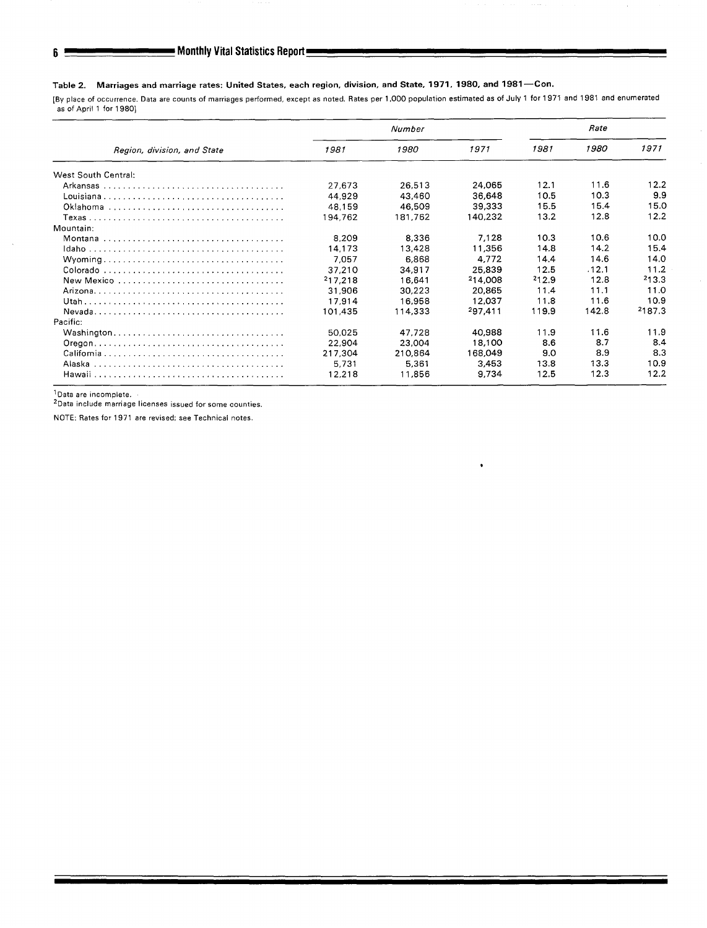## Table 2. Marriages and marriage rates: United States, each region, division, and State, 1971, 1980, and 1981—Con.

[By place of occurrence. Data are counts of marriages performed, except as noted. Rates per 1,000 population estimated as of July 1 for 1971 and 1981 and enumerated as of April 1 for 1980]

|                             |         | Number  | Rate    |       |       |        |
|-----------------------------|---------|---------|---------|-------|-------|--------|
| Region, division, and State | 1981    | 1980    | 1971    | 1981  | 1980  | 1971   |
| West South Central:         |         |         |         |       |       |        |
|                             | 27.673  | 26.513  | 24.065  | 12.1  | 11.6  | 12.2   |
|                             | 44.929  | 43.460  | 36,648  | 10.5  | 10.3  | 9.9    |
|                             | 48.159  | 46.509  | 39.333  | 15.5  | 15.4  | 15.0   |
|                             | 194.762 | 181,762 | 140.232 | 13.2  | 12.8  | 12.2   |
| Mountain:                   |         |         |         |       |       |        |
|                             | 8.209   | 8.336   | 7.128   | 10.3  | 10.6  | 10.0   |
|                             | 14,173  | 13.428  | 11,356  | 14.8  | 14.2  | 15.4   |
|                             | 7,057   | 6,868   | 4.772   | 14.4  | 14.6  | 14.0   |
|                             | 37,210  | 34,917  | 25.839  | 12.5  | .12.1 | 11.2   |
| New Mexico                  | 217,218 | 16.641  | 214.008 | 212.9 | 12.8  | 213.3  |
|                             | 31,906  | 30,223  | 20.865  | 11.4  | 11.1  | 11.0   |
|                             | 17,914  | 16.958  | 12.037  | 11.8  | 11.6  | 10.9   |
|                             | 101.435 | 114.333 | 297.411 | 119.9 | 142.8 | 2187.3 |
| Pacific:                    |         |         |         |       |       |        |
|                             | 50.025  | 47,728  | 40,988  | 11.9  | 11.6  | 11.9   |
|                             | 22,904  | 23.004  | 18,100  | 8.6   | 8.7   | 8.4    |
|                             | 217,304 | 210.864 | 168,049 | 9.0   | 8.9   | 8.3    |
|                             | 5.731   | 5,361   | 3.453   | 13.8  | 13.3  | 10.9   |
|                             | 12,218  | 11,856  | 9,734   | 12.5  | 123   | 12.2   |

lData are incomplete.

'Data include marriage licenses **issued for some counties,** 

NOTE: Rates for 1971 are revised; see Technical notes.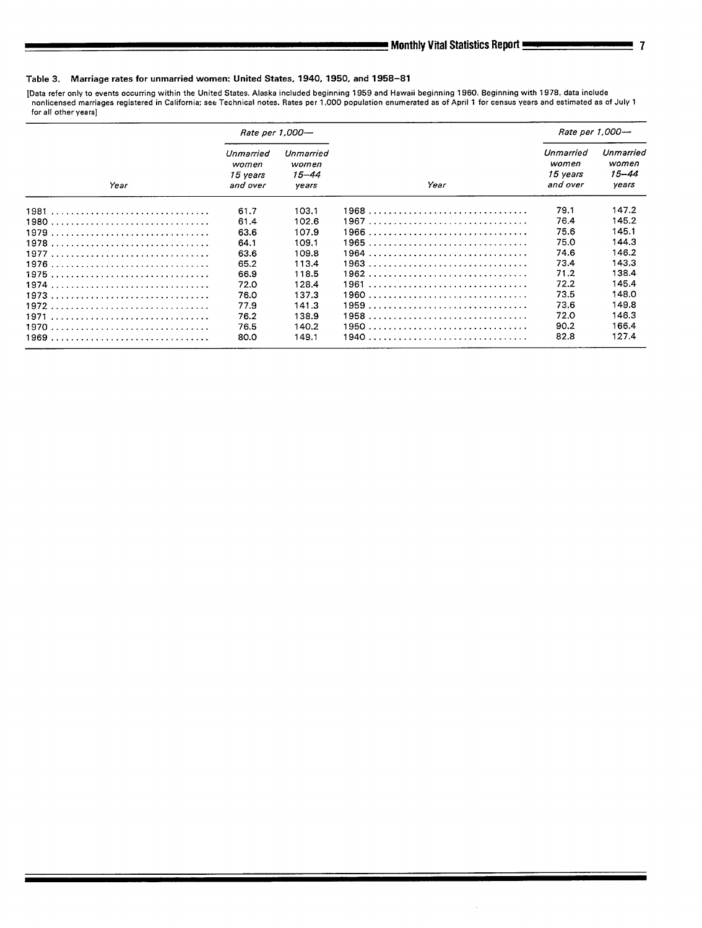## Table 3. Marriage rates for unmarried women: United States, 1940, 1950, and 1958-81

[Data refer only to events occurring within the United States. Alaska included beginning 1959 and Hawaii beginning 1960. Beginning with 1978, data include<br>- nonlicensed marriages registered in California; see Technical not

|      | Rate per 1,000-                            |                                      |      |                                            | Rate per 1,000-                      |
|------|--------------------------------------------|--------------------------------------|------|--------------------------------------------|--------------------------------------|
| Year | Unmarried<br>women<br>15 vears<br>and over | Unmarried<br>women<br>15–44<br>vears | Year | Unmarried<br>women<br>15 vears<br>and over | Unmarried<br>women<br>15–44<br>years |
|      | 61.7                                       | 103.1                                |      | 79.1                                       | 147.2                                |
|      | 61.4                                       | 102.6                                |      | 76.4                                       | 145.2                                |
|      | 63.6                                       | 107.9                                |      | 75.6                                       | 145.1                                |
|      | 64.1                                       | 109.1                                |      | 75.0                                       | 144.3                                |
|      | 63.6                                       | 109.8                                |      | 74.6                                       | 146.2                                |
|      | 65.2                                       | 113.4                                |      | 73.4                                       | 143.3                                |
|      | 66.9                                       | 118.5                                |      | 71.2                                       | 138.4                                |
|      | 72.0                                       | 128.4                                |      | 72.2                                       | 145.4                                |
|      | 76.0                                       | 137.3                                |      | 73.5                                       | 148.0                                |
|      | 77.9                                       | 141.3                                |      | 73.6                                       | 149.8                                |
|      | 76.2                                       | 138.9                                |      | 72.0                                       | 146.3                                |
|      | 76.5                                       | 140.2                                |      | 90.2                                       | 166.4                                |
|      | 80.0                                       | 149.1                                |      | 82.8                                       | 127.4                                |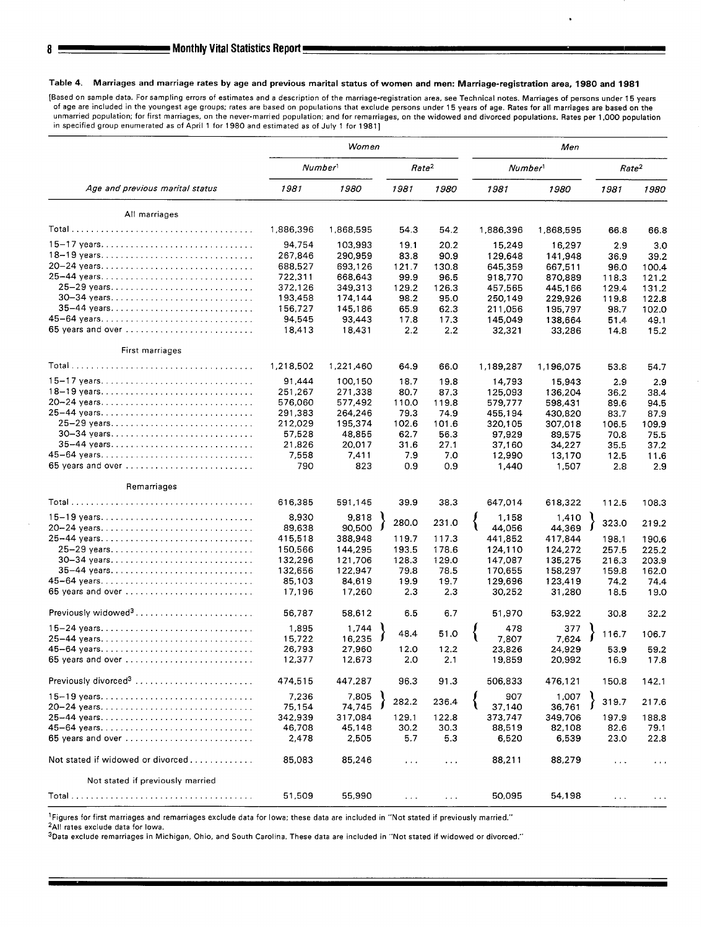### **Table 4. Marriages and marriage rates by age and previous marital status of women and men: Marriage-ragistration area, 1980 and 1981**

**[Based on sample data, For sampling errors of estimates and a description of the marriage-registration area, see Technical notes, Marriages of persons under 15 years of age are included in the youngest age groups; rates are based on populations that exclude persons under 15 years of age. Rates for all marriages are based on the unmarried population; for first marriages, on the never-married population; and for remarriages, on the widowed and divorced populations. Rates per 1,000 population in specified group enumerated as of April 1 for 1980 and estimated as of July 1 for 1981]** 

|                                   | Women     |                     |                      |                   | Men                 |           |                   |                      |  |
|-----------------------------------|-----------|---------------------|----------------------|-------------------|---------------------|-----------|-------------------|----------------------|--|
|                                   |           | Number <sup>1</sup> |                      | Rate <sup>2</sup> | Number <sup>1</sup> |           | Rate <sup>2</sup> |                      |  |
| Age and previous marital status   | 1981      | 1980                | 1981                 | 1980              | 1981                | 1980      | 1981              | 1980                 |  |
| All marriages                     |           |                     |                      |                   |                     |           |                   |                      |  |
|                                   | 1,886,396 | 1,868,595           | 54.3                 | 54.2              | 1,886,396           | 1,868,595 | 66.8              | 66.8                 |  |
|                                   | 94.754    | 103,993             | 19.1                 | 20.2              | 15,249              | 16,297    | 2.9               | 3.0                  |  |
| 18-19 years                       | 267,846   | 290,959             | 83.8                 | 90.9              | 129,648             | 141,948   | 36.9              | 39.2                 |  |
| 20-24 years                       | 688,527   | 693,126             | 121.7                | 130.8             | 645,359             | 667,511   | 96.0              | 100.4                |  |
| 25-44 years                       | 722,311   | 668,643             | 99.9                 | 96.5              | 918,770             | 870,889   | 118.3             | 121.2                |  |
| 25-29 years                       | 372,126   | 349,313             | 129.2                | 126.3             | 457,565             | 445,166   | 129.4             | 131.2                |  |
| 30-34 years                       | 193,458   | 174,144             | 98.2                 | 95.0              | 250,149             | 229,926   | 119.8             | 122.8                |  |
| 35-44 years                       | 156,727   | 145,186             | 65.9                 | 62.3              | 211,056             | 195,797   | 98.7              | 102.0                |  |
| 45-64 years                       | 94,545    | 93,443              | 17.8                 | 17.3              | 145,049             | 138,664   | 51.4              | 49.1                 |  |
| 65 years and over                 | 18,413    | 18,431              | 2.2                  | 2.2               | 32,321              | 33,286    | 14.8              | 15.2                 |  |
| First marriages                   |           |                     |                      |                   |                     |           |                   |                      |  |
|                                   | 1,218,502 | 1,221,460           | 64.9                 | 66.0              | 1,189,287           | 1,196,075 | 53.8              | 54.7                 |  |
| 15-17 years                       | 91,444    | 100,150             | 18.7                 | 19.8              | 14,793              | 15,943    | 2.9               | 2.9                  |  |
| 18-19 years                       | 251,267   | 271,338             | 80.7                 | 87.3              | 125.093             | 136,204   | 36.2              | 38.4                 |  |
| 20-24 years                       | 576,060   | 577,492             | 110.0                | 119.8             | 579,777             | 598,431   | 89.6              | 94.5                 |  |
| 25-44 years                       | 291,383   | 264,246             | 79.3                 | 74.9              | 455,194             | 430,820   | 83.7              | 87.9                 |  |
| 25-29 years                       | 212,029   | 195,374             | 102.6                | 101.6             | 320,105             | 307,018   | 106.5             | 109.9                |  |
| 30-34 years                       | 57,528    | 48,855              | 62.7                 | 56.3              | 97,929              | 89,575    | 70.8              | 75.5                 |  |
| 35-44 years                       | 21,826    | 20,017              | 31.6                 | 27.1              | 37.160              | 34,227    | 35.5              | 37.2                 |  |
| 45-64 years                       | 7,558     | 7,411               | 7.9                  | 7.0               | 12,990              | 13,170    | 12.5              | 11.6                 |  |
| 65 years and over                 | 790       | 823                 | 0.9                  | 0.9               | 1,440               | 1,507     | 2.8               | 2.9                  |  |
| Remarriages                       |           |                     |                      |                   |                     |           |                   |                      |  |
|                                   | 616,385   | 591,145             | 39.9                 | 38.3              | 647,014             | 618,322   | 112.5             | 108.3                |  |
| 15-19 years                       | 8,930     | 9,818               | 280.0                | 231.0             | 1,158               | 1,410     | 323.0             | 219.2                |  |
| 20-24 years                       | 89,638    | 90,500              |                      |                   | 44,056              | 44,369    |                   |                      |  |
| 25-44 years                       | 415,518   | 388,948             | 119.7                | 117.3             | 441,852             | 417,844   | 198.1             | 190.6                |  |
| 25-29 years                       | 150,566   | 144,295             | 193.5                | 178.6             | 124,110             | 124,272   | 257.5             | 225.2                |  |
|                                   | 132,296   | 121,706             | 128.3                | 129.0             | 147,087             | 135,275   | 216.3             | 203.9                |  |
|                                   | 132,656   | 122,947             | 79.8                 | 78.5              | 170,655             | 158,297   | 159.8             | 162.0                |  |
|                                   | 85,103    | 84,619              | 19.9                 | 19.7              | 129,696             | 123,419   | 74.2              | 74.4                 |  |
| 65 years and over                 | 17.196    | 17,260              | 2.3                  | 2.3               | 30,252              | 31,280    | 18.5              | 19.0                 |  |
|                                   | 56,787    | 58,612              | 6.5                  | 6.7               | 51,970              | 53,922    | 30.8              | 32.2                 |  |
| $15-24$ years                     | 1,895     | 1,744               | 48.4                 | 51.0              | 478                 | 377       | 116.7             |                      |  |
| 25-44 years                       | 15,722    | 16,235              |                      |                   | 7,807               | 7.624     |                   | 106.7                |  |
| 45-64 years                       | 26,793    | 27,960              | 12.0                 | 12.2              | 23,826              | 24,929    | 53.9              | 59.2                 |  |
| 65 years and over                 | 12,377    | 12,673              | 2.0                  | 2.1               | 19,859              | 20,992    | 16.9              | 17.8                 |  |
|                                   | 474,515   | 447,287             | 96.3                 | 91.3              | 506,833             | 476,121   | 150.8             | 142.1                |  |
| 15-19 years                       | 7,236     | 7,805               | 282.2                | 236.4             | 907                 | 1,007     | 319.7             | 217.6                |  |
| 20-24 years                       | 75,154    | 74,745              |                      |                   | 37.140              | 36,761    |                   |                      |  |
| 25-44 years                       | 342,939   | 317,084             | 129.1                | 122.8             | 373,747             | 349,706   | 197.9             | 188.8                |  |
| 45-64 years                       | 46,708    | 45,148              | 30.2                 | 30.3              | 88,519              | 82,108    | 82.6              | 79.1                 |  |
| 65 years and over                 | 2,478     | 2,505               | 5.7                  | 5.3               | 6,520               | 6,539     | 23.0              | 22.8                 |  |
| Not stated if widowed or divorced | 85,083    | 85,246              | $\sim$ $\sim$ $\sim$ | $\cdots$          | 88,211              | 88,279    | $\cdots$          | $\sim$ $\sim$ $\sim$ |  |
| Not stated if previously married  |           |                     |                      |                   |                     |           |                   |                      |  |
|                                   | 51,509    | 55,990              | $\sim$ $\sim$ $\sim$ | $\ddotsc$         | 50,095              | 54,198    | $\ddotsc$         | $\cdots$             |  |
|                                   |           |                     |                      |                   |                     |           |                   |                      |  |

**'Figures for first marriages and remarriages exclude data for lowa; these data are included in "Not stated if previously married."** 

**'All ratea exclude data for Iowa.** 

**3Data exclude remarriages in Michigan, Ohio, and South Carolina. These data are included in "Not stated if widowed or divorced,"** 

8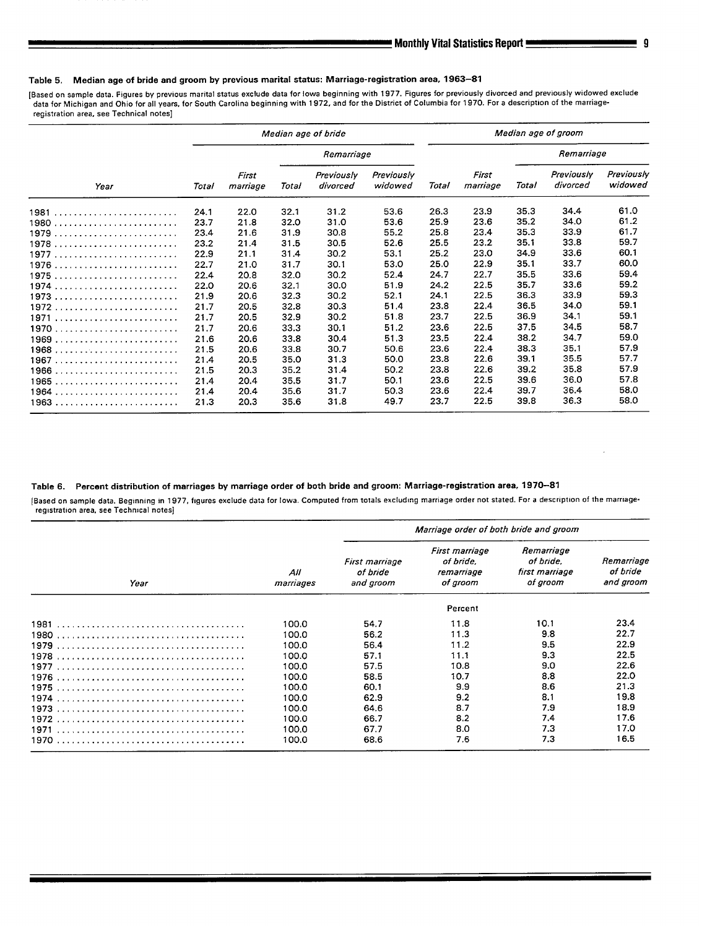### Table 5. Median age of bride and groom by previous marital status: Marriage-regiatration area, 1963-81

Based on sample data. Figures by previous marital status exclude data for lowa beginning with 1977. Figures for previously divorced and previously widowed excludi<br>data for Michigan and Ohio for all years, for South Carolin **registration area, see Technical notes]** 

|      | Median age of bride |                   |       |                        |                       | Median age of groom |                   |       |                               |                              |
|------|---------------------|-------------------|-------|------------------------|-----------------------|---------------------|-------------------|-------|-------------------------------|------------------------------|
|      |                     |                   |       | Remarriage             |                       |                     |                   |       | Remarriage                    |                              |
| Year | Total               | First<br>marriage | Total | Previously<br>divorced | Previously<br>widowed | Total               | First<br>marriage | Total | <b>Previously</b><br>divorced | <b>Previously</b><br>widowed |
|      | 24.1                | 22.0              | 32.1  | 31.2                   | 53.6                  | 26.3                | 23.9              | 35.3  | 34.4                          | 61.0                         |
|      | 23.7                | 21.8              | 32.0  | 31.0                   | 53.6                  | 25.9                | 23.6              | 35.2  | 34.0                          | 61.2                         |
| 1979 | 23.4                | 21.6              | 31.9  | 30.8                   | 55.2                  | 25.8                | 23.4              | 35.3  | 33.9                          | 61.7                         |
| 1978 | 23.2                | 21.4              | 31.5  | 30.5                   | 52.6                  | 25.5                | 23.2              | 35.1  | 33.8                          | 59.7                         |
| 1977 | 22.9                | 21.1              | 31.4  | 30.2                   | 53.1                  | 25.2                | 23.0              | 34.9  | 33.6                          | 60.1                         |
|      | 22.7                | 21.0              | 31.7  | 30.1                   | 53.0                  | 25.0                | 22.9              | 35.1  | 33.7                          | 60.0                         |
| 1975 | 22.4                | 20.8              | 32.0  | 30.2                   | 52.4                  | 24.7                | 22.7              | 35.5  | 33.6                          | 59.4                         |
|      | 22.0                | 20.6              | 32.1  | 30.0                   | 51.9                  | 24.2                | 22.5              | 35.7  | 33.6                          | 59.2                         |
|      | 21.9                | 20.6              | 32.3  | 30.2                   | 52.1                  | 24.1                | 22.5              | 36.3  | 33.9                          | 59.3                         |
|      | 21.7                | 20.5              | 32.8  | 30.3                   | 51.4                  | 23.8                | 22.4              | 36.5  | 34.0                          | 59.1                         |
| 1971 | 21.7                | 20.5              | 32.9  | 30.2                   | 51.8                  | 23.7                | 22.5              | 36.9  | 34.1                          | 59.1                         |
|      | 21.7                | 20.6              | 33.3  | 30.1                   | 51.2                  | 23.6                | 22.5              | 37.5  | 34.5                          | 58.7                         |
|      | 21.6                | 20.6              | 33.8  | 30.4                   | 51.3                  | 23.5                | 22.4              | 38.2  | 34.7                          | 59.0                         |
| 1968 | 21.5                | 20.6              | 33.8  | 30.7                   | 50.6                  | 23.6                | 22.4              | 38.3  | 35.1                          | 57.9                         |
|      | 21.4                | 20.5              | 35.0  | 31.3                   | 50.0                  | 23.8                | 22.6              | 39.1  | 35.5                          | 57.7                         |
|      | 21.5                | 20.3              | 35.2  | 31.4                   | 50.2                  | 23.8                | 22.6              | 39.2  | 35.8                          | 57.9                         |
|      | 21.4                | 20.4              | 35.5  | 31.7                   | 50.1                  | 23.6                | 22.5              | 39.6  | 36.0                          | 57.8                         |
|      | 21.4                | 20.4              | 35.6  | 31.7                   | 50.3                  | 23.6                | 22.4              | 39.7  | 36.4                          | 58.0                         |
|      | 21.3                | 20.3              | 35.6  | 31.8                   | 49.7                  | 23.7                | 22.5              | 39.8  | 36.3                          | 58.0                         |

## Table 6. Percent distribution of marriages by marriage order of both bride and groom: Marriage-registration area, 1970-81

[Based on sample data. Beginning in 1977, figures exclude data for Iowa. Computed from totals excluding marriage order not stated. For a description of the marriageregistration area, see Technical notes]

|      |                  | Marriage order of both bride and groom  |                                                       |                                                       |                                     |  |  |  |
|------|------------------|-----------------------------------------|-------------------------------------------------------|-------------------------------------------------------|-------------------------------------|--|--|--|
| Year | All<br>marriages | First marriage<br>of bride<br>and groom | First marriage<br>of bride.<br>remarriage<br>of groom | Remarriage<br>of bride.<br>first marriage<br>of groom | Remarriage<br>of bride<br>and groom |  |  |  |
|      |                  |                                         | Percent                                               |                                                       |                                     |  |  |  |
|      | 100.0            | 54.7                                    | 11.8                                                  | 10.1                                                  | 23.4                                |  |  |  |
|      | 100.0            | 56.2                                    | 11.3                                                  | 9.8                                                   | 22.7                                |  |  |  |
|      | 100.0            | 56.4                                    | 11.2                                                  | 9.5                                                   | 22.9                                |  |  |  |
|      | 100.0            | 57.1                                    | 11.1                                                  | 9.3                                                   | 22.5                                |  |  |  |
|      | 100.0            | 57.5                                    | 10.8                                                  | 9.0                                                   | 22.6                                |  |  |  |
|      | 100.0            | 58.5                                    | 10.7                                                  | 8.8                                                   | 22.0                                |  |  |  |
|      | 100.0            | 60.1                                    | 9.9                                                   | 8.6                                                   | 21.3                                |  |  |  |
|      | 100.0            | 62.9                                    | 9.2                                                   | 8.1                                                   | 19.8                                |  |  |  |
|      | 100.0            | 64.6                                    | 8.7                                                   | 7.9                                                   | 18.9                                |  |  |  |
|      | 100.0            | 66.7                                    | 8.2                                                   | 7.4                                                   | 17.6                                |  |  |  |
|      | 100.0            | 67.7                                    | 8.0                                                   | 7.3                                                   | 17.0                                |  |  |  |
|      | 100.0            | 68.6                                    | 7.6                                                   | 7.3                                                   | 16.5                                |  |  |  |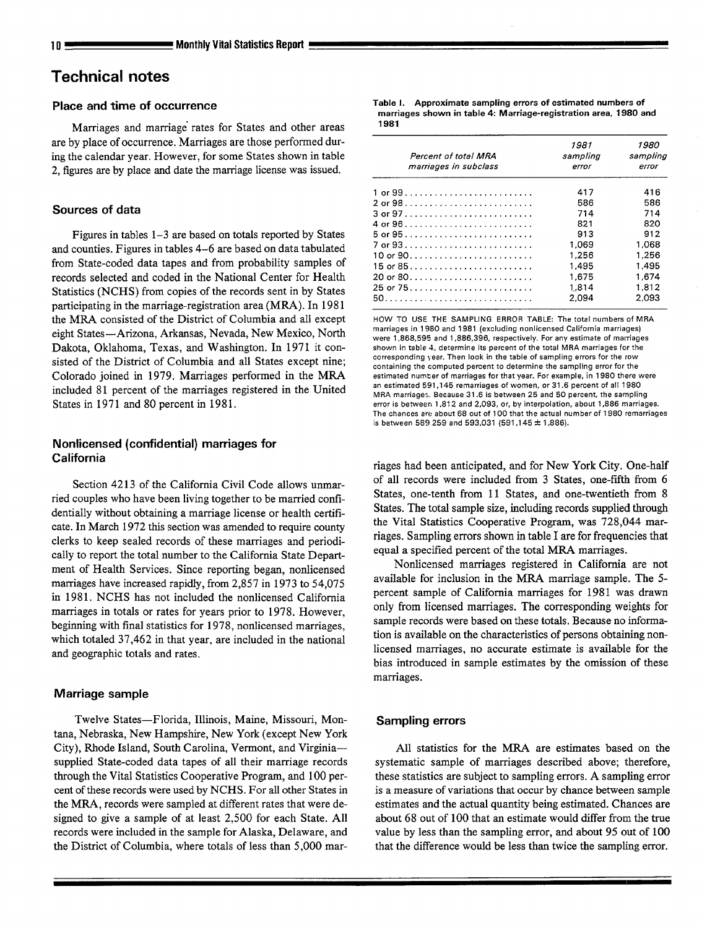## **Technical notes**

## **Place and time of occurrence**

Marriages and marriage rates for States and other areas are by place of occurrence. Marriages are those performed during the calendar year. However, for some States shown in table 2, figures are by place and date the marriage license was issued.

## **Sources of data**

Figures in tables 1–3 are based on totals reported by States and counties. Figures in tables 4-6 are based on data tabulated from State-coded data tapes and from probability samples of records selected and coded in the National Center for Health Statistics (NCHS) from copies of the records sent in by States participating in the marriage-registration area (MRA). In 1981 the MRA consisted of the District of Columbia and all except eight States-Arizona, Arkansas, Nevada, New Mexico, North Dakota, Oklahoma, Texas, and Washington. In 1971 it consisted of the District of Columbia and all States except nine; Colorado joined in 1979, Marriages performed in the MRA included 81 percent of the marriages registered in the United States in 1971 and 80 percent in 1981.

## **Nonlicensed (confidential) marriages for California**

Section 4213 of the California Civil Code allows unmarried couples who have been living together to be married confidentially without obtaining a marriage license or health certificate. In March 1972 this section was amended to require county clerks to keep sealed records of these marriages and periodically to report the total number to the California State Department of Health Services. Since reporting began, nonlicensed marriages have increased rapidly, from 2,857 in 1973 to 54,075 in 1981. NCHS has not included the nonlicensed California marriages in totals or rates for years prior to 1978. However, beginning with final statistics for 1978, nonlicensed marriages, which totaled 37,462 in that year, are included in the national and geographic totals and rates.

## **Marriage sample**

Twelve States—Florida, Illinois, Maine, Missouri, Montana, Nebraska, New Hampshire, New York (except New York City), Rhode Island, South Carolina, Vermont, and Virginia supplied State-coded data tapes of all their marriage records through the Vital Statistics Cooperative Program, and 100 percent of these records were used by NCHS. For all other States in the MR4, records were sampled at different rates that were designed to give a sample of at least 2,500 for each State. All records were included in the sample for Alaska, Delaware, and the District of Columbia, where totals of less than 5,000 marTable 1. Approximate sampling errors of estimated numbers of marriages shown in table 4: Marriage-registration area, 1980 and 1981

| Percent of total MRA<br>marriages in subclass | 1981<br>sampling<br>error | 1980<br>sampling<br>error |
|-----------------------------------------------|---------------------------|---------------------------|
|                                               | 417                       | 416                       |
|                                               | 586                       | 586                       |
|                                               | 714                       | 714                       |
|                                               | 821                       | 820                       |
|                                               | 913                       | 912                       |
|                                               | 1.069                     | 1.068                     |
|                                               | 1.256                     | 1,256                     |
| 15 or 85                                      | 1.495                     | 1.495                     |
| 20 or 80                                      | 1.675                     | 1 674                     |
| 25 or 75                                      | 1.814                     | 1.812                     |
|                                               | 2.094                     | 2093                      |

**HOW TO USE THE SAMPLING ERROR TABLE: The total numbers of MRA marriagea in 1980 and 1981 (excluding nonlicensed California marriagea) were 1,868,595 and 1,886,396, respectively, For any estimate of marriages shown in table 4, determine its percent of the total MRA marriages for the corresponding }ear. Then look in the table of sampling errors for the row containing the computed percent to determine the sampling error for the estimated numter of marriagea for that year. For example, in 1980 there were**  an estimated 591,145 remarriages of women, or 31.6 percent of all 1980 **MRA marriages. Because 31.6 is between 25 and 50 percent, the sampling error ia between 1,812 and 2,093, or, by interpolation, about 1,886 marriagea. The chances are about 68 out of 100 that the actual number of 1980 remarriages is between 589269 and 593,031 (591 ,145 & 1,886).** 

riages had been anticipated, and for New York City. One-half of all records were included from 3 States, one-fifth from 6 States, one-tenth from 11 States, and one-twentieth from 8 States. The total sample size, including records supplied through the Vital Statistics Cooperative Program, was 728,044 marriages. Sampling errors shown in table I are for frequencies that equal a specified percent of the total MRA marriages.

Nonlicensed marriages registered in California are not available for inclusion in the MRA marriage sample. The 5 percent sample of California marriages for 1981 was drawn only from licensed marriages. The corresponding weights for sample records were based on these totals. Because no information is available on the characteristics of persons obtaining nonlicensed marriages, no accurate estimate is available for the bias introduced in sample estimates by the omission of these marriages.

## **Sampling errors**

All statistics for the MRA are estimates based on the systematic sample of marriages described above; therefore, these statistics are subject to sampling errors. A sampling error is a measure of variations that occur by chance between Sample estimates and the actual quantity being estimated. Chances are about 68 out of 100 that an estimate would differ from the true value by less than the sampling error, and about 95 out of 100 that the difference would be less than twice the sampling error.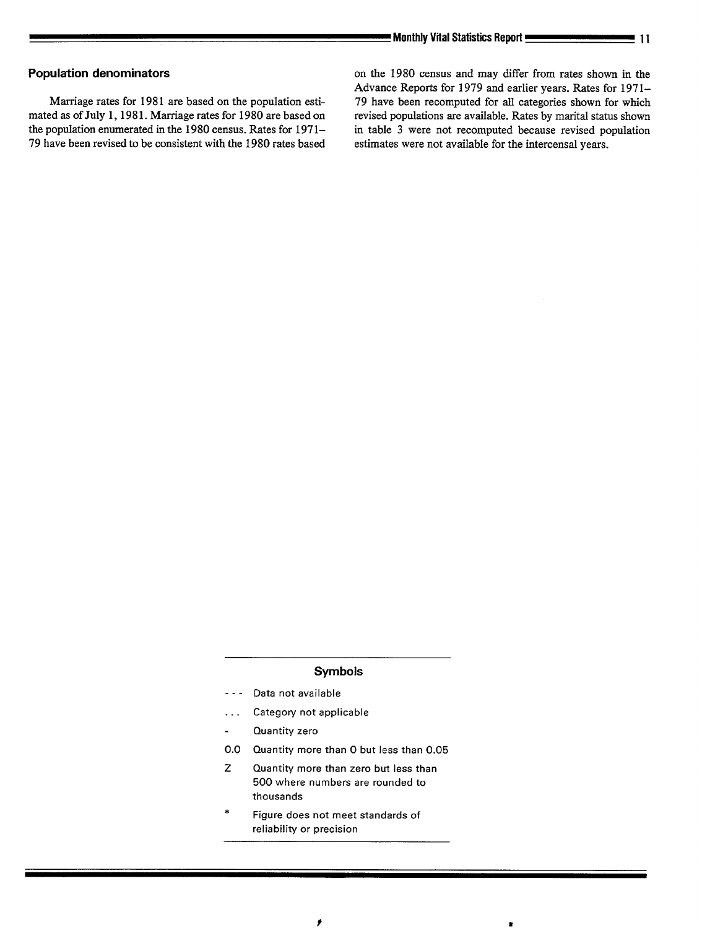the population enumerated in the 1980 census. Rates for 1971- in table 3 were not recomputed because revised population 79 have been revised to be consistent with the 1980 rates based estimates were not available for the intercensal years.

**Population denominators come in the 1980** census and may differ from rates shown in the Advance Reports for 1979 and earlier years. Rates for 197 l– Marriage rates for 1981 are based on the population esti-<br>
79 have been recomputed for all categories shown for which<br>
mated as of July 1, 1981. Marriage rates for 1980 are based on revised populations are available. Rates revised populations are available. Rates by marital status shown

## Symbols

- .-. **Data not available**
- **. . . Categov not applicable**
- **Quantity zero**   $\blacksquare$
- **0.0 Quantity more than O but less than 0.05**
- z **Quantity more than zero but less than 500 where numbers are rounded to thousands**
- **\* Figure does not meet standards of reliability or precision**